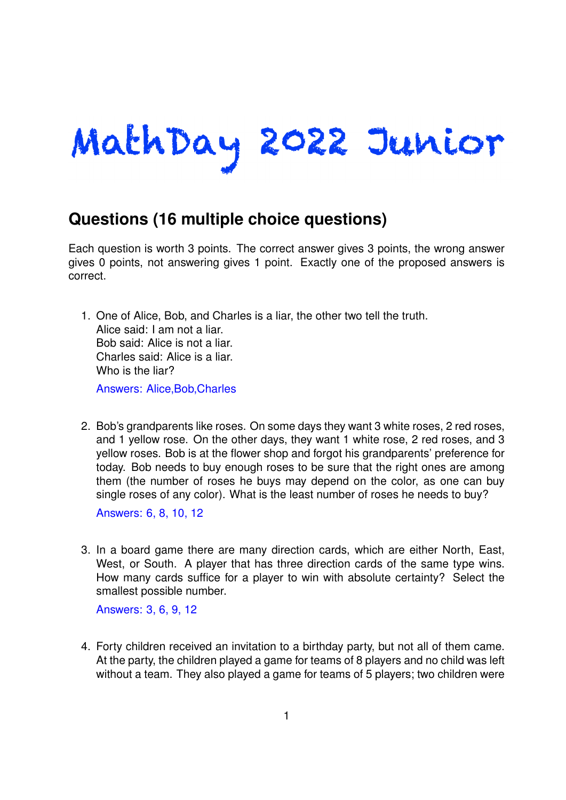## MathDay 2022 Junior

## **Questions (16 multiple choice questions)**

Each question is worth 3 points. The correct answer gives 3 points, the wrong answer gives 0 points, not answering gives 1 point. Exactly one of the proposed answers is correct.

- 1. One of Alice, Bob, and Charles is a liar, the other two tell the truth. Alice said: I am not a liar. Bob said: Alice is not a liar. Charles said: Alice is a liar. Who is the liar? Answers: Alice,Bob,Charles
- 2. Bob's grandparents like roses. On some days they want 3 white roses, 2 red roses, and 1 yellow rose. On the other days, they want 1 white rose, 2 red roses, and 3 yellow roses. Bob is at the flower shop and forgot his grandparents' preference for today. Bob needs to buy enough roses to be sure that the right ones are among them (the number of roses he buys may depend on the color, as one can buy single roses of any color). What is the least number of roses he needs to buy?

Answers: 6, 8, 10, 12

3. In a board game there are many direction cards, which are either North, East, West, or South. A player that has three direction cards of the same type wins. How many cards suffice for a player to win with absolute certainty? Select the smallest possible number.

Answers: 3, 6, 9, 12

4. Forty children received an invitation to a birthday party, but not all of them came. At the party, the children played a game for teams of 8 players and no child was left without a team. They also played a game for teams of 5 players; two children were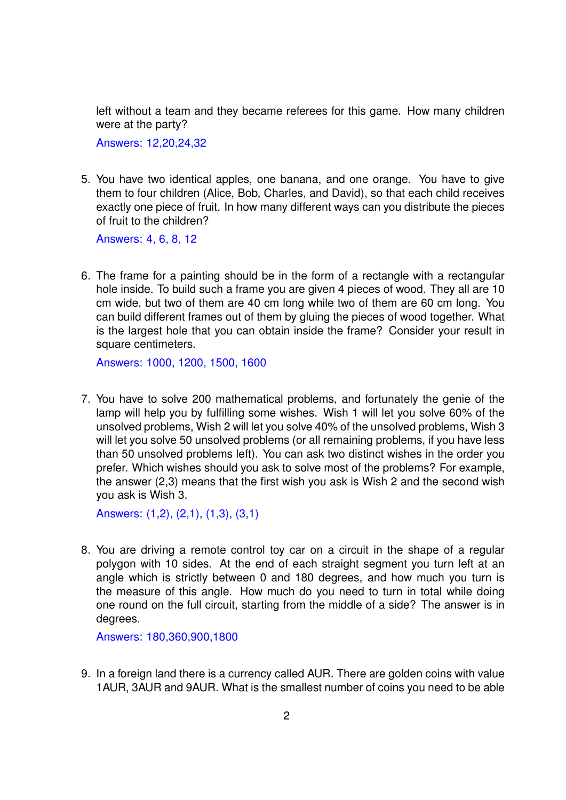left without a team and they became referees for this game. How many children were at the party?

Answers: 12,20,24,32

5. You have two identical apples, one banana, and one orange. You have to give them to four children (Alice, Bob, Charles, and David), so that each child receives exactly one piece of fruit. In how many different ways can you distribute the pieces of fruit to the children?

Answers: 4, 6, 8, 12

6. The frame for a painting should be in the form of a rectangle with a rectangular hole inside. To build such a frame you are given 4 pieces of wood. They all are 10 cm wide, but two of them are 40 cm long while two of them are 60 cm long. You can build different frames out of them by gluing the pieces of wood together. What is the largest hole that you can obtain inside the frame? Consider your result in square centimeters.

Answers: 1000, 1200, 1500, 1600

7. You have to solve 200 mathematical problems, and fortunately the genie of the lamp will help you by fulfilling some wishes. Wish 1 will let you solve 60% of the unsolved problems, Wish 2 will let you solve 40% of the unsolved problems, Wish 3 will let you solve 50 unsolved problems (or all remaining problems, if you have less than 50 unsolved problems left). You can ask two distinct wishes in the order you prefer. Which wishes should you ask to solve most of the problems? For example, the answer (2,3) means that the first wish you ask is Wish 2 and the second wish you ask is Wish 3.

Answers: (1,2), (2,1), (1,3), (3,1)

8. You are driving a remote control toy car on a circuit in the shape of a regular polygon with 10 sides. At the end of each straight segment you turn left at an angle which is strictly between 0 and 180 degrees, and how much you turn is the measure of this angle. How much do you need to turn in total while doing one round on the full circuit, starting from the middle of a side? The answer is in degrees.

Answers: 180,360,900,1800

9. In a foreign land there is a currency called AUR. There are golden coins with value 1AUR, 3AUR and 9AUR. What is the smallest number of coins you need to be able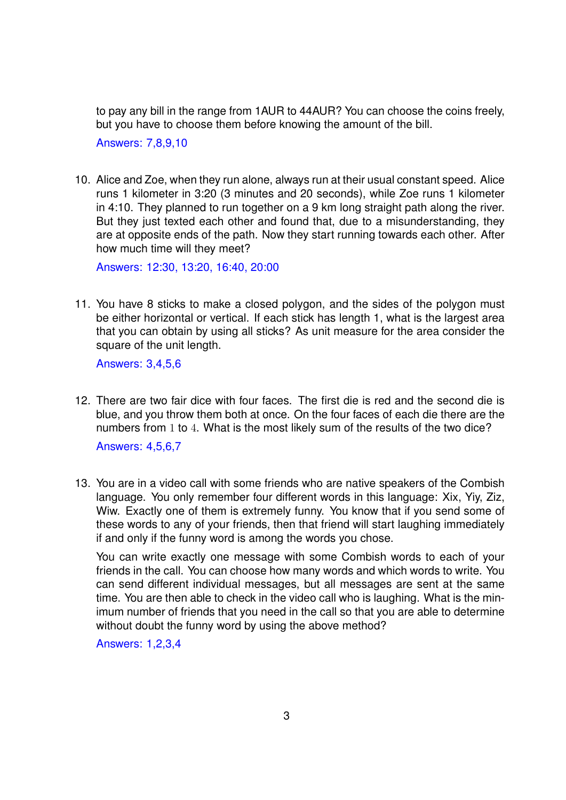to pay any bill in the range from 1AUR to 44AUR? You can choose the coins freely, but you have to choose them before knowing the amount of the bill.

Answers: 7,8,9,10

10. Alice and Zoe, when they run alone, always run at their usual constant speed. Alice runs 1 kilometer in 3:20 (3 minutes and 20 seconds), while Zoe runs 1 kilometer in 4:10. They planned to run together on a 9 km long straight path along the river. But they just texted each other and found that, due to a misunderstanding, they are at opposite ends of the path. Now they start running towards each other. After how much time will they meet?

Answers: 12:30, 13:20, 16:40, 20:00

11. You have 8 sticks to make a closed polygon, and the sides of the polygon must be either horizontal or vertical. If each stick has length 1, what is the largest area that you can obtain by using all sticks? As unit measure for the area consider the square of the unit length.

Answers: 3,4,5,6

12. There are two fair dice with four faces. The first die is red and the second die is blue, and you throw them both at once. On the four faces of each die there are the numbers from 1 to 4. What is the most likely sum of the results of the two dice?

Answers: 4,5,6,7

13. You are in a video call with some friends who are native speakers of the Combish language. You only remember four different words in this language: Xix, Yiy, Ziz, Wiw. Exactly one of them is extremely funny. You know that if you send some of these words to any of your friends, then that friend will start laughing immediately if and only if the funny word is among the words you chose.

You can write exactly one message with some Combish words to each of your friends in the call. You can choose how many words and which words to write. You can send different individual messages, but all messages are sent at the same time. You are then able to check in the video call who is laughing. What is the minimum number of friends that you need in the call so that you are able to determine without doubt the funny word by using the above method?

Answers: 1,2,3,4